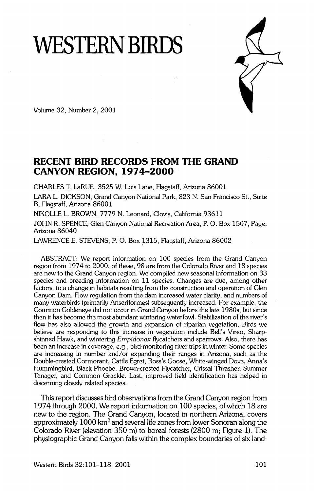# **WESTERN BIRDS**



**Volume 32, Number 2, 2001** 

# **RECENT BIRD RECORDS FROM THE GRAND CANYON REGION, 1974-2000**

**CHARLES T. LaRUE, 3525 W. Lois Lane, Flagstaff, Arizona 86001** 

**LARA L. DICKSON, Grand Canyon National Park, 823 N. San Francisco St., Suite B, Flagstaff, Arizona 86001** 

**NIKOLLE L. BROWN, 7779 N. Leonard, Clovis, California 93611 JOHN R. SPENCE, Glen Canyon National Recreation Area, P.O. Box 1507, Page, Arizona 86040** 

**LAWRENCE E. STEVENS, P.O. Box 1315, Flagstaff, Arizona 86002** 

**ABSTRACT: We report information on 100 species from the Grand Canyon region from 1974 to 2000; of these, 98 are from the Colorado River and 18 species are new to the Grand Canyon region. We compiled new seasonal information on 33 species and breeding information on 11 species. Changes are due, among other factors, to a change in habitats resulting from the construction and operation of Glen Canyon Dam. Flow regulation from the dam increased water clarity, and numbers of many waterbirds (primarily Anseriformes) subsequently increased. For example, the Common Goldeneye did not occur in Grand Canyon before the late 1980s, but since then it has become the most abundant wintering waterfowl. Stabilization of the river's flow has also allowed the growth and expansion of riparian vegetation. Birds we believe are responding to this increase in vegetation include Bell's Vireo, Sharpshinned Hawk, and wintering Empidonax flycatchers and sparrows. Also, there has been an increase in coverage, e.g., bird-monitoring river trips in winter. Some species are increasing in number and/or expanding their ranges in Arizona, such as the Double-crested Cormorant, Cattle Egret, Ross's Goose, White-winged Dove, Anna's Hummingbird, Black Phoebe, Brown-crested Flycatcher, Crissal Thrasher, Summer Tanager, and Common Grackle. Last, improved field identification has helped in discerning closely related species.** 

**This report discusses bird observations from the Grand Canyon region from 1974 through 2000. We report information on 100 species, of which 18 are new to the region. The Grand Canyon, located in northern Arizona, covers**  approximately 1000 km<sup>2</sup> and several life zones from lower Sonoran along the **Colorado River (elevation 350 m) to boreal forests (2800 m; Figure 1). The physiographic Grand Canyon falls within the complex boundaries of six land-**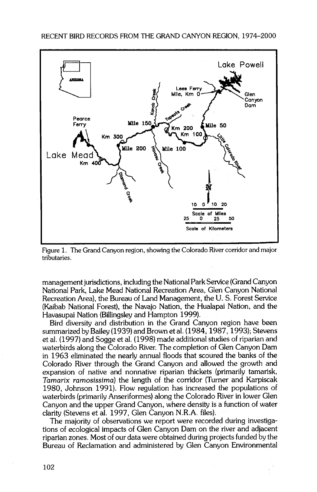

**Figure 1. The Grand Canyon region, showing the Colorado River corridor and major tributaries.** 

**management jurisdictions, including the National Park Service (Grand Canyon National Park, Lake Mead National Recreation Area, Glen Canyon National Recreation Area), the Bureau of Land Management, the U. S. Forest Service (Kaibab National Forest), the Navajo Nation, the Hualapai Nation, and the Havasupai Nation (Billingsley and Hampton 1999).** 

**Bird diversity and distribution in the Grand Canyon region have been summarized by Bailey (1939) and Brown et al. (1984, 1987, 1993); Stevens et al. (1997) and Sogge et al. (1998) made additional studies of riparian and waterbirds along the Colorado River. The completion of Glen Canyon Dam in 1963 eliminated the nearly annual floods that scoured the banks of the Colorado River through the Grand Canyon and allowed the growth and expansion of native and nonnative riparian thickets (primarily tamarisk, Tamarix ramosissima) the length of the corridor (Turner and Karpiscak 1980, Johnson 1991). Flow regulation has increased the populations of waterbirds (primarily Anseriformes) along the Colorado River in lower Glen Canyon and the upper Grand Canyon, where density is a function of water clarity (Stevens et al. 1997, Glen Canyon N.R.A. files).** 

**The majority of observations we report were recorded during investigations of ecological impacts of Glen Canyon Dam on the river and adjacent**  riparian zones. Most of our data were obtained during projects funded by the **Bureau of Reclamation and administered by Glen Canyon Environmental**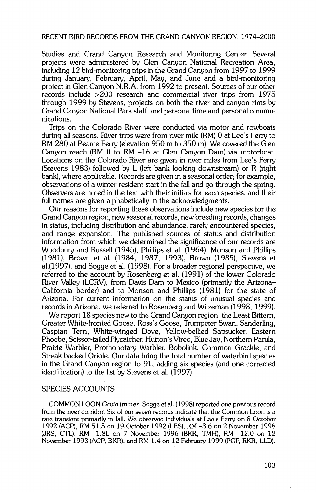**Studies and Grand Canyon Research and Monitoring Center. Several projects were administered by Glen Canyon National Recreation Area, including 12 bird-monitoring trips in the Grand Canyon from 1997 to 1999 during January, February, April, May, and June and a bird-monitoring project in Glen Canyon N.R.A. from 1992 to present. Sources of our other records include >200 research and commercial river trips from 1975 through 1999 by Stevens, projects on both the river and canyon rims by Grand Canyon National Park staff, and personal time and personal communications.** 

**Trips on the Colorado River were conducted via motor and rowboats during all seasons. River trips were from river mile (RM) 0 at Lee's Ferry to RM 280 at Pearce Ferry (elevation 950 m to 350 m). We covered the Glen Canyon reach (RM 0 to RM -16 at Glen Canyon Dam) via motorboat. Locations on the Colorado River are given in river miles from Lee's Ferry (Stevens 1983) followed by L (left bank looking downstream) or R (right bank), where applicable. Records are given in a seasonal order; for example, observations of a winter resident start in the fall and go through the spring. Observers are noted in the text with their initials for each species, and their full names are given alphabetically in the acknowledgments.** 

**Our reasons for reporting these observations include new species for the Grand Canyon region, new seasonal records, new breeding records, changes in status, including distribution and abundance, rarely encountered species, and range expansion. The published sources of status and distribution information from which we determined the significance of our records are Woodbury and Russell (1945), Phillips et al. (1964), Monson and Phillips (1981), Brown et al. (1984, 1987, 1993), Brown (1985), Stevens et a1.(1997), and Sogge et al. (1998). For a broader regional perspective, we referred to the account by Rosenberg et al. (1991) of the lower Colorado River Valley (LCRV), from Davis Dam to Mexico (primarily the Arizona-California border) and to Monson and Phillips (1981) for the state of Arizona. For current information on the status of unusual species and records in Arizona, we referred to Rosenberg and Witzeman (1998, 1999).** 

**We report 18 species new to the Grand Canyon region: the Least Bittern, Greater White-fronted Goose, Ross's Goose, Trumpeter Swan, Sanderling, Caspian Tern, White-winged Dove, Yellow-bellied Sapsucker, Eastern Phoebe, Scissor-tailed Flycatcher, Hutton's Vireo, Blue Jay, Northern Parula, Prairie Warbler, Prothonotary Warbler, Bobolink, Common Grackle, and Streak-backed Oriole. Our data bring the total number of waterbird species in the Grand Canyon region to 91, adding six species (and one corrected**  identification) to the list by Stevens et al. (1997).

# **SPECIES ACCOUNTS**

**COMMON LOON Gavia iramet. Sogge et al. (1998) reported one previous record from the river corridor. Six of our seven records indicate that the Common Loon is a rare transient primarily in fall. We observed individuals at Lee's Ferry on 8 October 1992 (ACP), RM 51.5 on 19 October 1992 (LES), RM -3.6 on 2 November 1998 (JRS, CTL), RM -1.8L on 7 November 1996 (BKR, TMH), RM -12.0 on 12 November 1993 (ACP, BKR), and RM 1.4 on 12 February 1999 (PGF, RKR, LLD).**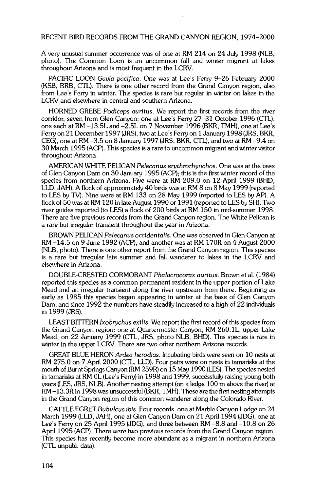**A very unusual summer occurrence was of one at RM 214 on 24 July 1998 (NLB, photo). The Common Loon is an uncommon fall and winter migrant at lakes throughout Arizona and is most frequent in the LCRV.** 

**PACIFIC LOON Gavia pacifica. One was at Lee's Ferry 9-26 February 2000 (KSB, BRB, CTL). There is one other record from the Grand Canyon region, also from Lee's Ferry in winter. This species is rare but regular in winter on lakes in the LCRV and elsewhere in central and southern Arizona.** 

**HORNED GREBE Podiceps auritus. We report the first records from the river corridor, seven from Glen Canyon: one at Lee's Ferry 27-31 October 1996 (CTL), one each at RM -13.5L and -2.5L on 7 November 1996 (BKR, TMH), one at Lee's Ferry on 21 December 1997 (JRS), two at Lee's Ferry on 1 January 1998 (JRS, BKR, CEG), one at RM -3.5 on 8 January 1997 (JRS, BKR, CTL), and two at RM -9.4 on 30 March 1995 (ACP). This species is a rare to uncommon migrant and winter visitor throughout Arizona.** 

AMERICAN WHITE PELICAN Pelecanus ervthrorhynchos. One was at the base **of Glen Canyon Dam on 30 January 1995 (ACP); this is the first winter record of the species from northern Arizona. Five were at RM 209.0 on 12 April 1999 (BHD, LLD, JAH). A flock of approximately 40 birds was at RM 8 on 8 May 1999 (reported to LES by TV). Nine were at RM 133 on 28 May 1999 (reported to LES by AP). A flock of 50 was at RM 120 in late August 1990 or 1991 (reported to LES by SH). Two river guides reported (to LES) a flock of 200 birds at RM 150 in mid-summer 1998. There are five previous records from the Grand Canyon region. The White Pelican is a rare but irregular transient throughout the year in Arizona.** 

**BROWN PELICAN Pelecanus occidentalis. One was observed in Glen Canyon at RM -14.5 on 9 June 1992 (ACP), and another was at RM 170R on 4 August 2000 (NLB, photo). There is one other report from the Grand Canyon region. This species is a rare but irregular late summer and fall wanderer to lakes in the LCRV and elsewhere in Arizona.** 

**DOUBLE-CRESTED CORMORANT Phalacrocorax auritus. Brown et al. (1984) reported this species as a common permanent resident in the upper portion of Lake Mead and an irregular transient along the river upstream from there. Beginning as early as 1985 this species began appearing in winter at the base of Glen Canyon Dam, and since 1992 the numbers have steadily increased to a high of 22 individuals in 1999 (JRS).** 

**LEAST BITTERN lxobrychus exilis. We report the first record of this species from the Grand Canyon region: one at Quartermaster Canyon, RM 260.1L, upper Lake Mead, on 22 January 1999 (CTL, JRS, photo NLB, BHD). This species is rare in winter in the upper LCRV. There are two other northern Arizona records.** 

**GREAT BLUE HERON Ardea herodias. Incubating birds were seen on 10 nests at RM 275.0 on 7 April 2000 (CTL, LLD). Four pairs were on nests in tamarisks at the mouth of Burnt Springs Canyon (RM 259R) on 15 May 1990 (LES). The species nested in tamarisks at RM 0L (Lee's Ferry) in 1998 and 1999, successfully raising young both years (LES, JRS, NLB). Another nesting attempt (on a ledge 100 m above the river) at RM -13.3R in 1998 was unsuccessful (BKR, TMH). These are the first nesting attempts in the Grand Canyon region of this common wanderer along the Colorado River.** 

**CATrLE EGRET Bubulcus ibis. Four records: one at Marble Canyon Lodge on 24 March 1999 (LLD, JAH), one at Glen Canyon Dam on 21 April 1994 (JDG), one at Lee's Ferry on 25 April 1995 (JDG), and three between RM -8.8 and -10.8 on 26 April 1995 (ACP). There were two previous records from the Grand Canyon region. This species has recently become more abundant as a migrant in northern Arizona (CTL unpubl. data).**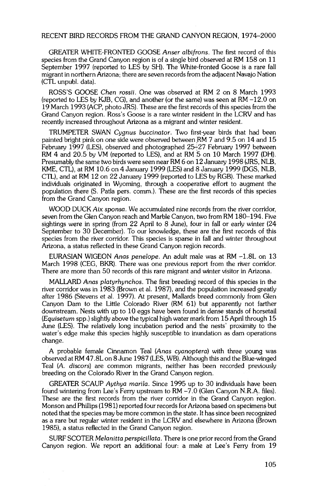**GREATER WHITE-FRONTED GOOSE Anser albifrons. The first record of this species from the Grand Canyon region is of a single bird observed at RM 158 on 11 September 1997 (reported to LES by SH). The White-fronted Goose is a rare fall migrant in northern Arizona; there are seven records from the adjacent Navajo Nation (CTL unpubl. data).** 

**ROSS'S GOOSE Chen fossil. One was observed at RM 2 on 8 March 1993 (reported to LES by KJB, CG), and another (or the same) was seen at RM -12.0 on 19 March 1993 (ACP, photo JRS). These are the first records of this species from the Grand Canyon region. Ross's Goose is a rare winter resident in the LCRV and has recently increased throughout Arizona as a migrant and winter resident.** 

**TRUMPETER SWAN Cygnus buccinator. Two first-year birds that had been**  painted bright pink on one side were observed between RM 7 and 9.5 on 14 and 15 February 1997 (LES), observed and photographed 25<sup>+27</sup> February 1997 between **RM 4 and 20.5 by VM (reported to LES), and at RM 5 on 10 March 1997 (DH). Presumably the same two birds were seen near RM 6 on 12 January 1998 (JRS, NLB, KME, CTL), at RM 10.6 on 4 January 1999 (LES) and 8 January 1999 (DGS, NLB, CTL), and at RM 12 on 22 January 1999 (reported to LES by RGB). These marked individuals originated in Wyoming, through a cooperative effort to augment the population there (S. Patla pers. comm.). These are the first records of this species from the Grand Canyon region.** 

**WOOD DUCK Aix sponsa. We accumulated nine records from the fiver corridor, seven from the Glen Canyon reach and Marble Canyon, two from RM 180-194. Five sightings were in spring (from 22 April to 8 June), four in fall or early winter (24 September to 30 December). To our knowledge, these are the first records of this species from the river corridor. This species is sparse in fall and winter throughout**  Arizona, a status reflected in these Grand Canyon region records.

**EURASlAN WlGEON Anas penelope. An adult male was at RM -1.8L on 13 March 1998 (CEG, BKR). There was one previous report from the river corridor. There are more than 50 records of this rare migrant and winter visitor in Arizona.** 

**MALLARD Anas platyrhynchos. The first breeding record of this species in the river corridor was in 1983 (Brown et al. 1987), and the population increased greafiy after 1986 (Stevens et al. 1997). At present, Mallards breed commonly from Glen Canyon Dam to the Little Colorado River (RM 61) but apparently not farther downstream. Nests with up to 10 eggs have been found in dense stands of horsetail (Equiseturn spp.) slighfiy above the typical high water mark from 15 April through 15 June (LES). The relatively long incubation period and the nests' proximity to the water's edge make this species highly susceptible to inundation as dam operations change.** 

**A probable female Cinnamon Teal (Anas cyanoptera) with three young was observed at RM 47.8L on 8 June 1987 (LES, WB). Although this and the Blue-winged Teal (A. discors) are common migrants, neither has been recorded previously breeding on the Colorado River in the Grand Canyon region.** 

GREATER SCAUP Aythya marila. Since 1995 up to 30 individuals have been **found wintering from Lee's Ferry upstream to RM -7.0 (Glen Canyon N.R.A. files). These are the first records from the fiver corridor in the Grand Canyon region. Monson and Phillips (1981) reported four records for Arizona based on specimens but noted that the species may be more common in the state. It has since been recognized as a rare but regular winter resident in the LCRV and elsewhere in Arizona (Brown 1985), a status reflected in the Grand Canyon region.** 

**SURF SCOTER Melanitta perspicillata. There is one prior record from the Grand Canyon region. We report an additional four: a male at Lee's Ferry from 19**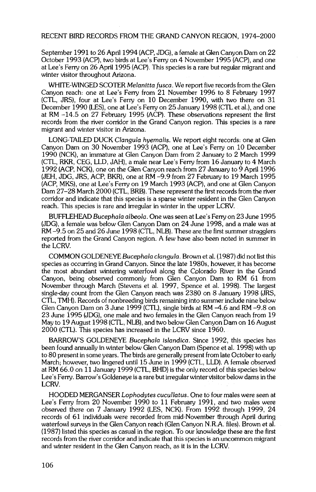**September 1991 to 26 April 1994 (ACP, JDG), a female at Glen Canyon Dam on 22 October 1993 (ACP), two birds at Lee's Ferry on 4 November 1995 (ACP), and one at Lee's Ferry on 26 April 1995 (ACP). This species is a rare but regular migrant and winter visitor throughout Arizona.** 

**WHITE-WINGED SCOTER Melanitta fusca. We report five records from the Glen Canyon reach: one at Lee's Ferry from 21 November 1996 to 8 February 1997 (CTL, JRS), four at Lee's Ferry on 10 December 1990, with two there on 31 December 1990 (LES), one at Lee's Ferry on 25 January 1998 (CTL et al.), and one at RM -14.5 on 27 February 1995 (ACP). These observations represent the first records from the river corridor in the Grand Canyon region. This species is a rare migrant and winter visitor in Arizona.** 

LONG-TAILED DUCK Clangula hyemalis. We report eight records: one at Glen **Canyon Dam on 30 November 1993 (ACP), one at Lee's Ferry on 10 December 1990 (NCK), an immature at Glen Canyon Dam from 2 January to 2 March 1999 (CTL, RKR, CEG, LLD, JAH), a male near Lee's Ferry from 16 January to 4 March 1992 (ACP, NCK), one on the Glen Canyon reach from 27 January to 9 April 1996 (JEH, JDG, JRS, ACP, BKR), one at RM-9.9-from 27 February to 19 March 1995 (ACP, MKS), one at Lee's Ferry on 19 March 1993 (ACP), and one at Glen Canyon**  Dam 27-28 March 2000 (CTL, BRB). These represent the first records from the river **corridor and indicate that this species is a sparse winter resident in the Glen Canyon reach. This species is rare and irregular in winter in the upper LCRV.** 

BUFFLEHEAD Bucephala albeola. One was seen at Lee's Ferry on 23 June 1995 **(JDG), a female was below Glen Canyon Dam on 24 June 1998, and a male was at RM -9.5 on 25 and 26 June 1998 (CTL, NLB). These are the first summer stragglers reported from the Grand Canyon region. A few have also been noted in summer in the LCRV.** 

**COMMON GOLDENEYE Bucephala clangula. Brown et al. (1987) did not list this species as occurring in Grand Canyon. Since the late 1980s, however, it has become the most abundant wintering waterfowl along the Cglorado River in the Grand Canyon, being observed commonly from Glen Canyon Dam to RM 61 from November through March (Stevens et al. 1997, Spence et al. 1998). The largest single-day count from the Glen Canyon reach was 2380 on 8 January 1998 (JRS, CTL, TMH). Records of nonbreeding birds remaining into summer include nine below Glen Canyon Dam on 3 June 1999 (CTL), single birds at RM -4.6 and RM -9.8 on 23 June 1995 (JDG), one male and two females in the Glen Canyon reach from 19 May to 19 August 1998 (CTL, NLB), and two below Glen Canyon Dam on 16 August 2000 (CTL). This species has increased in the LCRV since 1960.** 

BARROW'S GOLDENEYE Bucephala islandica. Since 1992, this species has **been found annually in winter below Glen Canyon Dam (Spence et al. 1998) with up to 80 present in some years. The birds are generally present from late October to early March; however, two lingered until 15 June in 1999 (CTL, LLD). A female observed at RM 66.0 on 11 January 1999 (CTL, BHD) is the only record of this species below Lee's Ferry. Barrow's Goldeneye is a rare but irregular winter visitor below dams in the LCRV.** 

**HOODED MERGANSER Lophodytes cucullatus. One to four males were seen at Lee's Ferry from 20 November 1990 to 11 February 1991, and two males were observed there on 7 January 1992 (LES, NCK). From 1992 through 1999, 24 records of 61 individuals were recorded from mid-November through April during waterfowl surveys in the Glen Canyon reach (Glen Canyon N.R.A. files). Brown et al. (1987) listed this species as casual in the region. To our knowledge these are the first records from the river corridor and indicate that this species is an uncommon migrant and winter resident in the Glen Canyon reach, as it is in the LCRV.**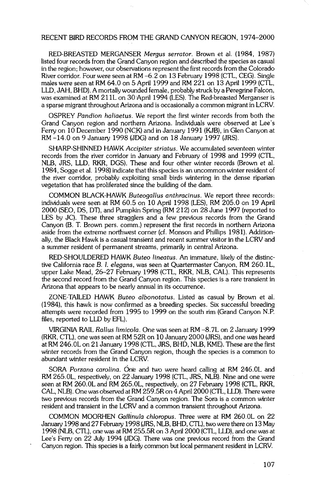**RED-BREASTED MERGANSER Mergus serrator. Brown et al. (1984, 1987) listed four records from the Grand Canyon region and described the species as casual in the region; however, our observations represent the first records from the Colorado River corridor. Four were seen at RM -6.2 on 13 February 1998 (CTL, CEG). Single males were seen at RM 64.0 on 5 April 1999 and RM 221 on 13 April 1999 (CTL, LLD, JAH, BHD). A mortally wounded female, probably struck by a Peregrine Falcon, was examined at RM 211L on 30•April 1994 (LES). The Red-breasted Merganser is a sparse migrant throughout Arizona and is occasionally a common migrant in LCRV.** 

**OSPREY Pandion haliaetus. We report the first winter records from both the Grand Canyon region and northern Arizona. Individuals were observed at Lee's**  Ferry on 10 December 1990 (NCK) and in January 1991 (KJB), in Glen Canyon at **RM -14.0 on 9 January 1998 (JDG) and on 18 January 1997 (JRS).** 

**SHARP-SHINNED HAWK Accipiter striatus. We accumulated seventeen winter records from the river corridor in January and February of 1998 and 1999 (CTL, NLB, JRS, LLD, RKR, DGS). These and four other winter records (Brown et al. 1984, Sogge et al. 1998) indicate that this species is an uncommon winter resident of the river corridor, probably exploiting small birds wintering in the dense riparian vegetation that has proliferated since the building of the dam.** 

**COMMON BLACK-HAWK Buteogallus anthra½inus. We report three records: individuals were seen at RM 60.5 on 10 April 1998 (LES), RM 205.0 on 19 April 2000 (SEO, DS, DT), and Pumpkin Spring (RM 212) on 28 June 1997 (reported to LES by JC). These three stragglers and a few previous records from the Grand**  Canyon (B. T. Brown pers. comm.) represent the first records in northern Arizona aside from the extreme northwest corner (cf. Monson and Phillips 1981). Addition**ally, the Black Hawk is a casual transient and recent summer visitor in the LCRV and a summer resident of permanent streams, primarily in central Arizona.** 

**RED-SHOULDERED HAWK Buteo lineatus. An immature, likely of the distinctive California race B. I. elegans, was seen at Quartermaster Canyon, RM 260.1L, upper Lake Mead, 26-27 February 1998 (CTL, RKR, NLB, CAL). This represents the second record from the Grand Canyon region. This species is a rare transient in Arizona that appears to be nearly annual in its occurrence.** 

**ZONE-TAILED HAWK Buteo albonotatus. Listed as casual by Brown et al. (1984), this hawk is now confirmed as a breeding species. Six successful breeding attempts were recorded from 1995 to 1999 on the south rim (Grand Canyon N.P. files, reported to LLD by EFL).** 

**VIRGINIA RAIL Rallus lirni½ola. One was seen at RM -8.7L on 2 January 1999 (RKR, CTL), one was seen at RM 52R on 10 January 2000 (JRS), and one was heard at RM 246.0L on 21 January 1998 (CTL, JRS, BHD, NLB, KME). These are the first winter records from the Grand Canyon region, though the species is a common to abundant winter resident in the LCRV.** 

SORA Porzana carolina. One and two were heard calling at RM 246.0L and **RM 265.0L, respectively, on 22 January 1998 (CTL, JRS, NLB). Nine and one were seen at RM 260.0L and RM 265.0L, respectively, on 27 February 1998 (CTL, RKR, CAL, NLB). One was observed at RM 259.5R on 4 April 2000 (CTL, LLD). There were two previous records from the Grand Canyon region. The Sora is a common winter**  resident and transient in the LCRV and a common transient throughout Arizona.

COMMON MOORHEN Gallinula chloropus. Three were at RM 260.0L on 22 **January 1998 and 27 February 1998 (JRS, NLB, BHD, CTL), two were there on 13 May 1998 (NLB, CTL), one was at RM 255.5R on 3 April 2000 (CTL, LLD), and one was at Lee's Ferry on 22 July 1994 (JDG). There was one previous record from the Grand Canyon region. This species is a fairly common but local permanent resident in LCRV.**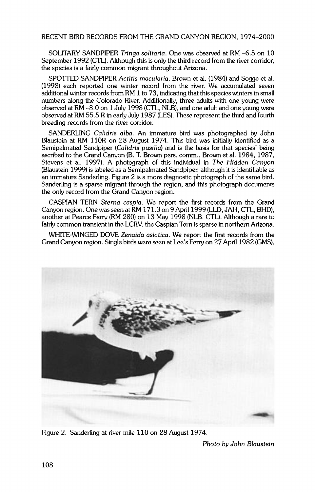**SOLITARY SANDPIPER Tringa solitaria. One was observed at RM -6.5 on 10 September 1992 (CTL). Although this is only the third record from the river corridor, the species is a fairly common migrant throughout Arizona.** 

SPOTTED SANDPIPER Actitis macularia. Brown et al. (1984) and Sogge et al. **(1998) each reported one winter record from the river. We accumulated seven additional winter records from RM 1 to 73, indicating that this species winters in small numbers along the Colorado River. Additionally, three adults with one young were observed at RM -8.0 on 1 July 1998 (CTL, NLB), and one adult and one young were observed at RM 55.5 R in early July 1987 (LES). These represent the third and fourth breeding records from the river corridor.** 

**SANDERLING Calidris alba. An immature bird was photographed by John Blaustein at RM 110R on 28 August 1974. This bird was initially identified as a Semipalmated Sandpiper (Calidris pusilia) and is the basis for that species' being ascribed to the Grand Canyon (B. T. Brown pers. comm., Brown et al. 1984, 1987, Stevens et al. 1997). A photograph of this individual in The Hidden Canyon (Blaustein 1999) is labeled as a Semipalmated Sandpiper, although it is identifiable as an immature Sanderling. Figure 2 is a more diagnostic photograph of the same bird. Sanderling is a sparse migrant through the region, and this photograph documents the only record from the Grand Canyon region.** 

**CASPIAN TERN \$terna caspia. We report the first records from the Grand Canyon region. One was seen at RM 171.3 on 9 April 1999 (LLD, JAH, CTL, BHD), another at Pearce Ferry (RM 280) on 13 May 1998 (NLB, CTL). Although a rare to fairly common transient in the LCRV, the Caspian Tern is sparse in northern Arizona.** 

**WHITE-WINGED DOVE Zenaida asiatica. We report the first records from the Grand Canyon region. Single birds were seen at Lee's Ferry on 27 April 1982 (GMS),** 



Figure 2. Sanderling at river mile 110 on 28 August 1974.

**Photo by John Blaustein**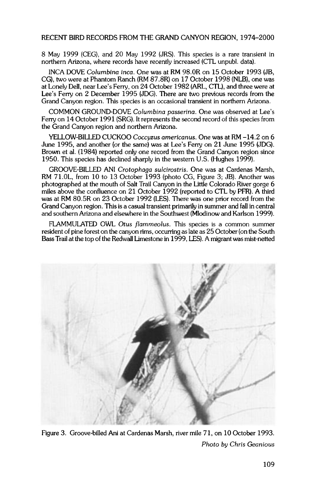**8 May 1999 (CEG), and 20 May 1992 (JRS). This species is a rare transient in northern Arizona, where records have recently increased (CTL unpubl. data).** 

**INCA DOVE Columbina inca. One was at RM 98.0R on 15 October 1993 (JB. CG), two were at Phantom Ranch (RM 87.8R) on 17 October 1998 (NLB), one was at Lonely Dell. near Lee's Ferry. on 24 October 1982 (ARL. CTL), and three were at Lee's Ferry on 2 December 1995 (JDG). There are two previous records from the Grand Canyon region. This species is an occasional transient in northern Arizona.** 

**COMMON GROUND-DOVE Columbina passerina. One was observed at Lee's Ferry on 14 October 1991 (SRG). It represents the second record of this species from the Grand Canyon region and northern Arizona.** 

**YELLOW-BILLED CUCKOO Coccyzus americanus. One was at RM -14.2 on 6 June 1995, and another (or the same) was at Lee's Ferry on 21 June 1995 (JDG). Brown et al. (1984) reported only one record from the Grand Canyon region since 1950. This species has declined sharply in the western U.S. (Hughes 1999).** 

GROOVE-BILLED ANI Crotophaga sulcirostris. One was at Cardenas Marsh, **RM 71.0L, from 10 to 13 October 1993 (photo CG, Figure 3: JB). Another was photographed at the mouth of Salt Trail Canyon in the Little Colorado River gorge 6 miles above the confluence on 21 October 1992 (reported to CTL by PFR). A third was at RM 80.5R on 23 October 1992 (LES). There was one prior record from the Grand Canyon region. This is a casual transient primarily in summer and fall in central and southern Arizona and elsewhere in the Southwest (Mlodinow and Karlson 1999).** 

**FLAMMULATED OWL Otus fiammeolus. This species is a common summer resident of pine forest on the canyon rims, occurring as late as 25 October (on the South Bass Trail at the top of the Redwall Limestone in 1999, LES). A migrant was mist-netted** 



**Figure 3. Groove-billed Ani at Cardenas Marsh, river mile 71, on 10 October 1993 Photo by Chris Geanious**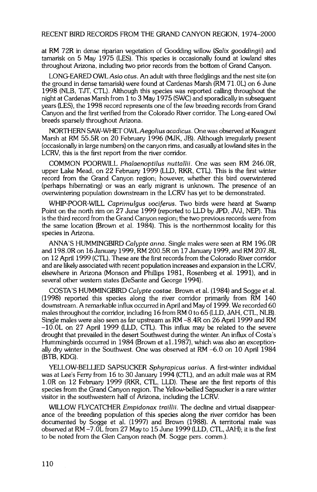**at RM 72R in dense riparian vegetation of Goodding willow (Salix gooddingii) and tamarisk on 5 May 1975 (LES). This species is occasionally found at lowland sites throughout Arizona, including two prior records from the bottom of Grand Canyon.** 

**LONG-EARED OWL Asio otus. An adult with three fledglings and the nest site (on the ground in dense tamarisk) were found at Cardenas Marsh (RM 71.0L) on 6 June**  1998 (NLB, TJT, CTL). Although this species was reported calling throughout the **night at Cardenas Marsh from 1 to 3 May 1975 (SWC) and sporadically in subsequent years (LES), the 1998 record represents one of the few breeding records from Grand Canyon and the first verified from the Colorado River corridor. The Long-eared Owl breeds sparsely throughout Arizona.** 

**NORTHERN SAW-WHET OWL Aegolius acadicus. One was observed at Kwagunt Marsh at RM 55.5R on 20 February 1996 (MJK, JB). Although irregularly present (occasionally inlarge numbers) on the canyon rims, and casually at lowland sites in the LCRV, this is the first report from the river corridor.** 

**COMMON POORWILL Phalaenoptilus nuttallii. One was seen RM 246.0R, upper Lake Mead, on 22 February 1999 (LLD, RKR, CTL). This is the first winter record from the Grand Canyon region; however, whether this bird overwintered (perhaps hibernating) or was an early migrant is unknown. The presence of an overwintering population downstream in the LCRV has yet to be demonstrated.** 

**WHIP-POOR-WILL Caprirnulgus vociferus. Two birds were heard at Swamp Point on the north rim on 27 June 1999 (reported to LLD by JPD, JVJ, NEP). This is the third record from the Grand Canyon region; the two previous records were from the same location (Brown et al. 1984). This is the northernmost locality for this species in Arizona.** 

**ANNA'S HUMMINGBIRD Calypte anna. Single males were seen at RM 196.0R and 198.0R on 16 January 1999, RM 200.5R on 17 January 1999, and RM 207.8L on 12 April 1999 (CTL). These are the first records from the Colorado River corridor and are likely associated with recent population increases and expansion in the LCRV, elsewhere in Arizona (Monson and Phillips 1981, Rosenberg et al. 1991), and in several other western states (DeSante and George 1994).** 

**COSTA'S HUMMINGBIRD Calypte costae. Brown et al. (1984) and Sogge et al. (1998) reported this species along the river corridor primarily from RM 140 downstream. A remarkable influx occurred in April and May of 1999. We recorded 60 males throughout the corridor, including 16 from RM 0 to 65 (LLD, JAH, CTL, NLB). Single males were also seen as far upstream as RM -8.4R on 26 April 1999 and RM -10.0L on 27 April 1999 (LLD, CTL). This influx may be related to the severe**  drought that prevailed in the desert Southwest during the winter. An influx of Costa's **Hummingbirds occurred in 1984 (Brown et al. 1987), which was also an exceptionally dry winter in the Southwest. One was observed at RM -6.0 on 10 April 1984 (BTB, KDG).** 

**YELLOW-BELLIED SAPSUCKER \$phyrapicus varius. A first-winter individual was at Lee's Ferry from 16 to 30 January 1994 (CTL), and an adult male was at RM 1.0R on 12 February 1999 (RKR, CTL, LLD). These are the first reports of this species from the Grand Canyon region. The Yellow-bellied Sapsucker is a rare winter visitor in the southwestern half of Arizona, including the LCRV.** 

**WILLOW FLYCATCHER Ernpidonax traillii. The decline and virtual disappearance of the breeding population of this species along the river corridor has been documented by Sogge et al. (1997) and Brown (1988). A territorial male was observed at RM -7.0L from 27 May to 15 June 1999 (LLD, CTL, JAH); it is the first to be noted from the Glen Canyon reach (M. Sogge pers. comm.).**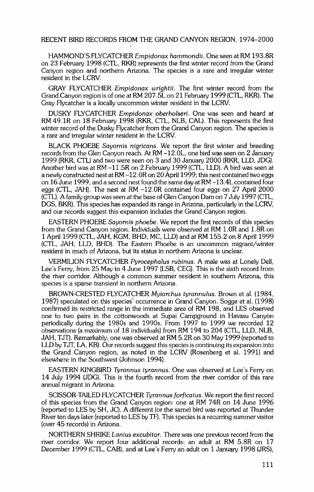**HAMMOND'S FLYCATCHER Ernpidonax harnmondii. One seen at RM 193.8R on 23 February 1998 (CTL, RKR) represents the first winter record from the Grand Canyon region and northern Arizona. The species is a rare and irregular winter resident in the LCRV.** 

**GRAY FLYCATCHER Ernpidonax wrightii. The first winter record from the Grand Canyon region is of one at RM 207.5L on 21 February 1999 (CTL, RKR). The Gray Flycatcher is a locally uncommon winter resident in the LCRV.** 

**DUSKY FLYCATCHER Ernpidonax oberholseri. One was seen and heard at RM 49.1R on 18 February 1998 (RKR, CTL, NLB, CAL). This represents the first winter record of the Dusky Flycatcher from the Grand Canyon region. The species is a rare and irregular winter resident in the LCRV.** 

**BLACK PHOEBE Sayornis nigricans. We report the first winter and breeding records from the Glen Canyon reach. At RM -12.0L, one bird was seen on 2 January 1999 (RKR, CTL) and two were seen on 3 and 30 January 2000 (RKR, LLD, JDG). Another bird was at RM -11.5R on 2 February 1999 (CTL, LLD). A bird was seen at a newly constructed nest at RM -12.0R on 20 April 1999; this nest contained two eggs on 16 June 1999, and a second nest found the same day at RM -13.4L contained four eggs (CTL, JAH). The nest at RM -12.0R contained four eggs on 27 April 2000 (CTL). A family group was seen at the base of Glen Canyon Dam on 7 July 1997 (CTL, DGS, BKR). This species has expanded its range in Arizona, particularly in the LCRV, and our records suggest this expansion includes the Grand Canyon region.** 

**EASTERN PHOEBE Sayornis phoebe. We report the first records of this species from the Grand Canyon region. Individuals were observed at RM 1.0R and 1.8R on 1 April 1999 (CTL, JAH, KGM, BHD, MC, LLD) and at RM 155.2 on 8 April 1999**  (CTL, JAH, LLD, BHD). The Eastern Phoebe is an uncommon migrant/winter **resident in much of Arizona, but its status in northern Arizona is unclear.** 

**VERMILION FLYCATCHER Pyrocephalus rubinus. A male was at Lonely Dell, Lee's Ferry, from 25 May to 4 June 1997 (LSB, CEG). This is the sixth record from the river corridor. Although a common summer resident in southern Arizona, this species is a sparse transient in northern Arizona.** 

BROWN-CRESTED FLYCATCHER Mviarchus tyrannulus. Brown et al. (1984, **1987) speculated on this species' occurrence in Grand Canyon. Sogge et al. (1998) confirmed its restricted range in the immediate area of RM 198, and LES observed one to two pairs in the cottonwoods at Supai Campground in Havasu Canyon periodically during the 1980s and 1990s. From 1997 to 1999 we recorded 12 observations (a maximum of 18 individuals) from RM 194 to 204 (CTL, LLD, NLB, JAH, TJT). Remarkably, one was observed at RM 5.2R on 30 May 1999 (reported to LLD by TJT, LA, KB). Our records suggest this species is continuing its expansion into the Grand Canyon region, as noted in the LCRV (Rosenberg et al. 1991) and elsewhere in the Southwest (Johnson 1994).** 

**EASTERN KINGBIRD Tyrannus tyrannus. One was observed at Lee's Ferry on 14 July 1994 (JDG). This is the fourth record from the river corridor of this rare annual migrant in Arizona.** 

**SCISSOR-TAILED FLYCATCHER Tyrannus forficatus. We report the first record of this species from the Grand Canyon region: one at RM 74R on 14 June 1996 (reported to LES by SH, JC). A different (or the same) bird was reported at Thunder River ten days later (reported to LES by TF). This species is a recurring summer visitor (over 45 records) in Arizona.** 

**NORTHERN SHRIKE Lanius excubitor. There was one previous record from the river corridor. We report four additional records: an adult at RM 5.8R on 17 December 1999 (CTL, CAB), and at Lee's Ferry an adult on 1 January 1998 (JRS),**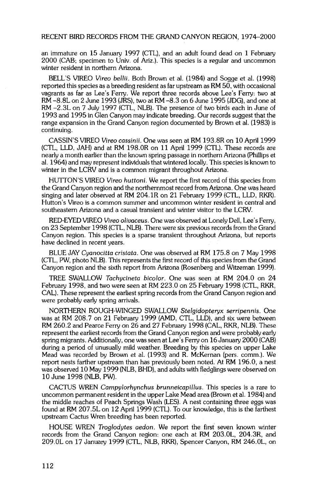**an immature on 15 January 1997 (CTL), and an adult found dead on 1 February 2000 (CAB; specimen to Univ. of Ariz.). This species is a regular and uncommon winter resident in northern Arizona.** 

**BELL'S VIREO Vireo bellii. Both Brown et al. (1984) and Sogge et al. (1998) reported this species as a breeding resident as far upstream as RM 50, with occasional vagrants as far as Lee's Ferry. We report three records above Lee's Ferry: two at RM -8.8L on 2 June 1993 (JRS), two at RM -8.3 on 6 June 1995 (JDG), and one at RM -2.3L on 7 July 1997 (CTL, NLB). The presence of two birds each in June of 1993 and 1995 in Glen Canyon may indicate breeding. Our records suggest that the range expansion in the Grand Canyon region documented by Brown et al. (1983) is continuing.** 

**CASSlN'S VIREO Vireo cassinii. One was seen at RM 193.8R on 10 April 1999 (CTL, LLD, JAH) and at RM 198.0R on 11 April 1999 (CTL). These records are nearly a month earlier than the known spring passage in northern Arizona (Phillips et al. 1964) and may represent individuals that wintered locally. This species is known to winter in the LCRV and is a common migrant throughout Arizona.** 

HUTTON'S VIREO Vireo huttoni. We report the first record of this species from **the Grand Canyon region and the northernmost record from Arizona. One was heard singing and later observed at RM 204.1R on 21 February 1999 (CTL, LLD, RKR). Hutton's Vireo is a common summer and uncommon winter resident in central and southeastern Arizona and a casual transient and winter visitor to the LCRV.** 

**RED-EYED VIREO Vireo olivaceus. One was observed at Lonely Dell, Lee's Ferry, on 23 September 1998 (CTL, NLB). There were six previous records from the Grand Canyon region. This species is a sparse transient throughout Arizona, but reports**  have declined in recent years.

**BLUE JAY Cyanocitta cristata. One was observed at RM 175.8 on 7 May 1998 (CTL, PW, photo NLB). This represents the first record of this species from the Grand Canyon region and the sixth report from Arizona (Rosenberg and Witzeman 1999).** 

**TREE SWALLOW Tachycineta bicolor. One was seen at RM 204.0 on 24 February 1998, and two were seen at RM 223.0 on 25 February 1998 (CTL, RKR, CAL). These represent the earliest spring records from the Grand Canyon region and were probably early spring arrivals.** 

**NORTHERN ROUGH-WINGED SWALLOW \$telgidopteryx serripennis. One was at RM 208.7 on 21 February 1999 (AMD, CTL, LLD), and six were between RM 260.2 and Pearce Ferry on 26 and 27 February 1998 (CAL, RKR, NLB). These**  represent the earliest records from the Grand Canyon region and were probably early **spring migrants. Additionally, one was seen at Lee's Ferry on 16 January 2000 (CAB) during a period of unusually mild weather. Breeding by this species on upper Lake Mead was recorded by Brown et al. (1993) and R. McKernan (pers. comm.). We report nests farther upstream than has previously been noted. At RM 196.0, a nest was observed 10 May 1999 (NLB, BHD), and adults with fledglings were observed on 10 June 1998 (NLB, PW).** 

**CACTUS WREN Carnpylorhynchus brunneicapillus. This species is a rare to uncommon permanent resident in the upper Lake Mead area (Brown et al. 1984) and the middle reaches of Peach Springs Wash (LES). A nest containing three eggs was found at RM 207.5L on 12 April 1999 (CTL). To our knowledge, this is the farthest upstream Cactus Wren breeding has been reported.** 

**HOUSE WREN Troglodytes aedon. We report the first seven known winter records from the Grand Canyon region: one each at RM 203.0L, 204.3R, and 209.0L on 17 January 1999 (CTL, NLB, RKR), Spencer Canyon, RM 246.0L, on**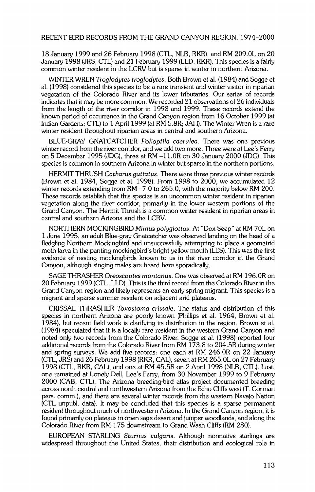**18 January 1999 and 26 February 1998 (CTL, NLB, RKR), and RM 209.0L on 20 January 1998 (JRS, CTL) and 21 February 1999 (LLD, RKR). This species is a fairly common winter resident in the LCRV but is sparse in winter in northern Arizona.** 

**WINTER WREN Troglodytes troglodytes. Both Brown et al. (1984) and Sogge et al. (1998) considered this species to be a rare transient and winter visitor in riparian vegetation of the Colorado River and its lower tributaries. Our series of records indicates that it may be more common. We recorded 21 observations of 26 individuals from the length of the river corridor in 1998 and 1999. These records extend the known period of occurrence in the Grand Canyon region from 16 October 1999 (at Indian Gardens; CTL) to 1 April 1999 (at RM 5.8R; JAH). The Winter Wren is a rare**  winter resident throughout riparian areas in central and southern Arizona.

**BLUE-GRAY GNATCATCHER Polioptila caerulea. There was one previous winter record from the river corridor, and we add two more. Three were at Lee's Ferry on 5 December 1995 (JDG), three at RM -11.0R on 30 January 2000 (JDG). This species is common in southern Arizona in winter but sparse in the northern portions.** 

**HERMIT THRUSH Catharus guttatus. There were three previous winter records (Brown et al. 1984, Sogge et al. 1998). From 1998 to 2000, we accumulated 12 winter records extending from RM -7.0 to 265.0, with the majority below RM 200. These records establish that this species is an uncommon winter resident in riparian vegetation along the river corridor, primarily in the lower western portions of the Grand Canyon. The Hermit Thrush is a common winter resident in riparian areas in central and southern Arizona and the LCRV.** 

**NORTHERN MOCKINGBIRD Mimus polyglottos. At "Dox Seep" at RM 70L on 1 June 1995, an adult Blue-gray Gnatcatcher was observed landing on the head of a fledgling Northern Mockingbird and unsuccessfully attempting to place a geometrid moth larva in the panting mockingbird's bright yellow mouth (LES). This was the first evidence of nesting mockingbirds known to us in the river corridor in the Grand Canyon, although singing males are heard here sporadically.** 

**SAGE THRASHER Oreoscoptes montanus. One was observed at RM 196.0R on 20 February 1999 (CTL, LLD). This is the third record from the Colorado River in the Grand Canyon region and likely represents an early spring migrant. This species is a migrant and sparse summer resident on adjacent arid plateaus.** 

**CRISSAL THRASHER Toxostoma crissale. The status and distribution of this species in northern Arizona are poorly known (Phillips et al. 1964, Brown et al. 1984), but recent field work is clarifying its distribution in the region. Brown et al. (1984) speculated that it is a locally rare resident in the western Grand Canyon and noted only two records from the Colorado River. Sogge et al. (1998) reported four additional records from the Colorado River from RM 173.8 to 204.5R during winter and spring surveys. We add five records: one each at RM 246.0R on 22 January (CTL, JRS) and 26 February 1998 (RKR, CAL), seven at RM 265.0L on 27 February 1998 (CTL, RKR, CAL), and one at RM 45.5R on 2 April 1998 (NLB, CTL). Last, one remained at Lonely Dell, Lee's Ferry, from 30 November 1999 to 9 February 2000 (CAB, CTL). The Arizona breeding-bird arias project documented breeding across north-central and northwestern Arizona from the Echo Cliffs west (T. Corman pers. comm.), and there are several winter records from the western Navajo Nation (CTL unpubl. data). It may be concluded that this species is a sparse permanent**  resident throughout much of northwestern Arizona. In the Grand Canyon region, it is **found primarily on plateaus in open sage desert and juniper woodlands, and along the Colorado River from RM 175 downstream to Grand Wash Cliffs (RM 280).** 

**EUROPEAN STARLING Sturnus vulgaris. Although nonnative starlings are widespread throughout the United States, their distribution and ecological role in**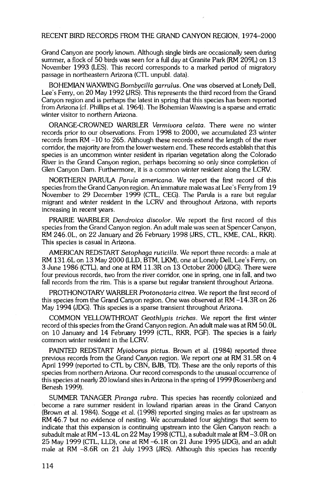**Grand Canyon are poorly known. Although single birds are occasionally seen during summer, a flock of 50 birds was seen for a full day at Granite Park (RM 209L) on 13 November 1993 (LES). This record corresponds to a marked period of migratory passage in northeastern Arizona (CTL unpubl. data).** 

**BOHEMIAN WAXWING Bombycilla garrulus. One was observed at Lonely Dell, Lee's Ferry, on 20 May 1992 (JRS). This represents the third record from the Grand Canyon region and is perhaps the latest in spring that this species has been reported from Arizona (cf. Phillips et al. 1964). The Bohemian Waxwing is a sparse and erratic winter visitor to northern Arizona.** 

**ORANGE-CROWNED WARBLER Vermiuora celata. There were no winter records prior to our observations. From 1998 to 2000, we accumulated 23 winter records from RM -10 to 265. Although these records extend the length of the river corridor, the majority are from the lower western end. These records establish that this species is an uncommon winter resident in riparian vegetation along the Colorado River in the Grand Canyon region, perhaps becoming so only since completion of Glen Canyon Dam. Furthermore, it is a common winter resident along the LCRV.** 

**NORTHERN PARULA Parula americana. We report the first record of this species from the Grand Canyon region. An immature male was at Lee's Ferry from 19 November to 29 December 1999 (CTL, CEG). The Parula is a rare but regular migrant and winter resident in the LCRV and throughout Arizona, with reports increasing in recent years.** 

**PRAIRIE WARBLER Dendroica discolor. We report the first record of this species from the Grand Canyon region. An adult male was seen at Spencer Canyon, RM 246.0L, on 22 January and 26 February 1998 (JRS, CTL, KME, CAL, RKR). This species is casual in Arizona.** 

**AMERICAN REDSTART \$etophaga ruticilla. We report three records: a male at RM 131.6L on 13 May 2000 (LLD, BTM, LKM), one at Lonely Dell, Lee's Ferry, on 3 June 1986 (CTL), and one at RM 11.3R on 13 October 2000 (JDG). There were four previous records, two from the river corridor, one in spring, one in fall, and two fall records from the rim. This is a sparse but regular transient throughout Arizona.** 

**PROTHONOTARY WARBLER Protonotaria citrea. We report the first record of this species from the Grand Canyon region. One was observed at RM -14.3R on 26**  May 1994 (JDG). This species is a sparse transient throughout Arizona.

**COMMON YELLOWTHROAT Geothlypis trichas. We report the first winter record of this species from the Grand Canyon region. An adult male was at RM 50.0L on 10 January and 14 February 1999 (CTL, RKR, PGF). The species is a fairly common winter resident in the LCRV.** 

**PAINTED REDSTART Myioborus pictus. Brown et al. (1984) reported three previous records from the Grand Canyon region. We report one at RM 31.5R on 4 April 1999 (reported to CTL by CBN, BJB, TD). These are the only reports of this species from northern Arizona. Our record corresponds to the unusual occurrence of this species at nearly 20 lowland sites in Arizona in the spring of 1999 (Rosenberg and Benesh 1999).** 

**SUMMER TANAGER Piranga rubra. This species has recently colonized and become a rare summer resident in lowland riparian areas in the Grand Canyon (Brown et al. 1984). Sogge et al. (1998) reported singing males as far upstream as RM 46.7 but no evidence of nesting. We accumulated four sightings that seem to indicate that this expansion is continuing upstream into the Glen Canyon reach: a subadult male at RM -13.4L on 22 May 1998 (CTL), a subadult male at RM -3.0R on 25 May 1999 (CTL, LLD), one at RM -6.1R on 21 June 1995 (JDG), and an adult male at RM -8.6R on 21 July 1993 (JRS). Although this species has recently**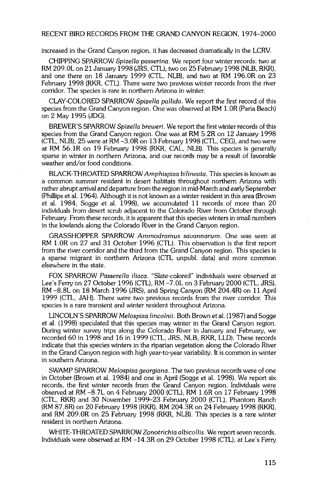**increased in the Grand Canyon region, it has decreased dramatically in the LCRV.** 

**CHIPPING SPARROW Spizella passerina. We report four winter records: two at RM 209.0L on 21 January 1998 (JRS, CTL), two on 25 February 1998 (NLB, RKR), and one there on 18 January 1999 (CTL, NLB), and two at RM 196.0R on 23 February 1998 (RKR, CTL). There were two previous winter records from the river corridor. The species is rare in northern Arizona in winter.** 

**CLAY-COLORED SPARROW Spizella pallida. We report the first record of this species from the Grand Canyon region. One was observed at RM 1 .OR (Paria Beach) on 2 May 1995 (JDG).** 

**BREWER'S SPARROW \$pizella breweri. We report the first winter records of this species from the Grand Canyon region. One was at RM 5.2R on 12 January 1998 (CTL, NLB), 25 were at RM -3.0R on 13 February 1998 (CTL, CEG), and two were at RM 56.1R on 19 February 1998 (RKR, CAL, NLB). This species is generally sparse in winter in northern Arizona, and our records may be a result of favorable weather and/or food conditions.** 

**BLACK-THROATED SPARROW Amphispiza bilineata. This species is known as a common summer resident in desert habitats throughout northern Arizona with rather abrupt arrival and departure from the region in mid-March and early September (Phillips et al. 1964). Although it is not known as a winter resident in this area (Brown et al. 1984, Sogge et al. 1998), we accumulated 11 records of more than 20 individuals from desert scrub adjacent to the Colorado River from October through February. From these records, it is apparent that this species winters in small numbers in the lowlands along the Colorado River in the Grand Canyon region.** 

**GRASSHOPPER SPARROW Ammodramus savannarum. One was seen at RM 1.0R on 27 and 31 October 1996 (CTL). This observation is the first report from the river corridor and the third from the Grand Canyon region. This species is a sparse migrant in northern Arizona (CTL unpubl. data) and more common elsewhere in the state.** 

**FOX SPARROW Passerella iliaca. "Slate-colored" individuals were observed at Lee's Ferry on 27 October 1996 (CTL), RM -7.0L on 3 February 2000 (CTL, JRS), RM -8.8L on 18 March 1996 (JRS), and Spring Canyon (RM 204.4R) on 11 April 1999 (CTL, JAH). There were two previous records from the river corridor. This**  species is a rare transient and winter resident throughout Arizona.

LINCOLN'S SPARROW Melospiza lincolnii. Both Brown et al. (1987) and Sogge et al. (1998) speculated that this species may winter in the Grand Canyon region. **During winter survey trips along the Colorado River in January and February, we recorded 60 in 1998 and 16 in 1999 (CTL, JRS, NLB, RKR, LLD). These records indicate that this species winters in the riparian vegetation along the Colorado River in the Grand Canyon region with high year-to-year variability. It is common in winter in southern Arizona.** 

**SWAMP SPARROW Melospiza georgiana. The two previous records were of one in October (Brown et al. 1984) and one in April (Sogge et al. 1998). We report six records, the first winter records from the Grand Canyon region. Individuals were observed at RM -8.7L on 4 February 2000 (CTL), RM 1.6R on 17 February 1998 (CTL, RKR) and 30 November 1999-23 February 2000 (CTL), Phantom Ranch (RM 87.8R) on 20 February 1998 (RKR), RM 204.3R on 24 February 1998 (RKR), and RM 209.0R on 25 February 1998 (RKR, NLB). This species is a rare winter resident in northern Arizona.** 

**WHITE-THROATED SPARROW Zonotrichia albicollis. We report seven records. Individuals were observed at RM -14.3R on 29 October 1998 (CTL), at Lee's Ferry**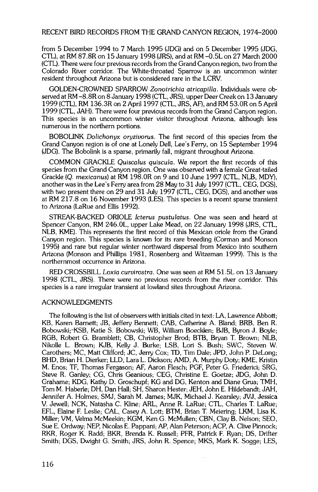**from 5 December 1994 to 7 March 1995 (JDG) and on 5 December 1995 (JDG, CTL), at RiM 87.8R on 15 January 1998 (JRS), and at RM -0.5L on 27 March 2000 (CTL). There were four previous records from the Grand Canyon region, two from the Colorado River corridor. The White-throated Sparrow is an uncommon winter resident throughout Arizona but is considered rare in the LCRV.** 

**GOLDEN-CROWNED SPARROW Zonotrichia atricapilla. Individuals were observed at RM -8.8R on 8 January 1998 (CTL, JRS), upper Deer Creek on 13 January 1999 (CTL), RM 136.3R on 2 April 1997 (CTL, JRS, AF), and RM 53.0R on 5 April 1999 (CTL, JAH). There were four previous records from the Grand Canyon region. This species is an uncommon winter visitor throughout Arizona, although less numerous in the northern portions.** 

**BOBOLINK Dolichonyx oryziuorus. The first record of this species from the Grand Canyon region is of one at Lonely Dell, Lee's Ferry, on 15 September 1994 (JDG). The Bobolink is a sparse, primarily fall, migrant throughout Arizona.** 

**COMMON GRACKLE Quiscalus quiscula. We report the first records of this species from the Grand Canyon region. One was observed with a female Great-tailed Grackle (Q. mexicanus) at RM 198.0R on 9 and 10 June 1997 (CTL, NLB, MDY), another was in the Lee's Ferry area from 28 May to 31 July 1997 (CTL, CEG, DGS), with two present there on 29 and 31 July 1997 (CTL, CEG, DGS), and another was at RM 217.8 on 16 November 1993 (LES). This species is a recent sparse transient to Arizona (LaRue and Ellis 1992).** 

**STREAK-BACKED ORIOLE Icterus pustulatus. One was seen and heard at Spencer Canyon, RM 246.0L, upper Lake Mead, on 22 January 1998 (JRS, CTL, NLB, KME). This represents the first record of this Mexican oriole from the Grand Canyon region. This species is known for its rare breeding (Corman and Monson 1995) and rare but regular winter northward dispersal from Mexico into southern Arizona (Monson and Phillips 1981, Rosenberg and Witzeman 1999). This is the northernmost occurrence in Arizona.** 

**RED CROSSBILL Loxia curuirostra. One was seen at RM 51.5L on 13 January 1998 (CTL, JRS). There were no previous records from the river corridor. This species is a rare irregular transient at lowland sites throughout Arizona.** 

#### **ACKNOWLEDGMENTS**

**The following is the list of observers with initials cited in text: LA, Lawrence Abbott; KB, Karen Barnett; JB, Jeffery Bennett; CAB, Catherine A. Bland; BRB, Ben R.**  Bobowski; KSB, Katie S. Bobowski; WB, William Boecklen; BJB, Byron J. Boyle; **RGB, Robert G. Bramblett; CB, Christopher Brod; BTB, Bryan T. Brown; NLB, Nikolle L. Brown; KJB, Kelly J. Burke; LSB, Lori S. Bush; SWC, Steven W. Carothers; MC, Matt Clifford; JC, Jerry Cox; TD, Tim Dale; JPD, John P. DeLong; BHD, Brian H. Dierker; LLD, Lara L. Dickson; AMD, A. Murphy Doty; KME, Kristin M. Enos; TF, Thomas Fergason; AF, Aaron Flesch; PGF, Peter G. Friederici; SRG, Steve R. Ganley; CG, Chris Geanious; CEG, Christine E. Goetze; JDG, John D. Grahame; KDG, Kathy D. Groschupf; KG and DG, Kenton and Diane Grua; TMH, Tom M. Habefie; DH, Dan Hall; SH, Sharon Hester; JEH, John E. Hildebandt; JAH, Jennifer A. Holmes; SMJ, Sarah M. James; MJK, Michael J. Kearsley; JVJ, Jessica V. Jewell; NCK, Natasha C. Kline; ARL, Anne R. LaRue; CTL, Charles T. LaRue; EFL, Elaine E Leslie; CAL, Casey A. Lott; BTM, Brian T. Meiering; LKM, Lisa K. Miller; VM, Velma McMeekin; KGM, Ken G. McMullen; CBN, Clay B. Nelson; SEO, Sue E. Ordway; NEP, Nicolas E. Pappani; AP, Alan Peterson; ACP, A. Clive Pinnock; RKR, Roger K. Radd; BKR, Brenda K. Russell; PFR, Patrick E Ryan; DS, Drifter Smith; DGS, Dwight G. Smith; JRS, John R. Spence; MKS, Mark K. Sogge; LES,**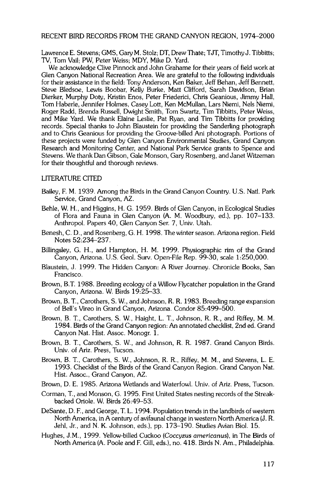**Lawrence E. Stevens; GMS, Gary M. Stolz; DT, Drew Thate; TJT, Timothy J. Tibbitts; TV, Tom Vail; PW, Peter Weiss; MDY, Mike D. Yard.** 

**We acknowledge Clive Pinnock and John Grahame for their years of field work at Glen Canyon National Recreation Area. We are grateful to the following individuals for their assistance in the field: Tony Anderson, Ken Baker, Jeff Behan, Jeff Bennett, Steve Bledsoe, Lewis Boobar, Kelly Burke, Matt Clifford, Sarah Davidson, Brian Dierker, Murphy Doty, Kristin Enos, Peter Friederici, Chris Geanious, Jimmy Hall, Tom Haberle, Jennifer Holmes, Casey Lott, Ken McMullan, Lars Niemi, Nels Niemi, Roger Radd, Brenda Russell, Dwight Smith, Tom Swartz, Tim Tibbitts, Peter Weiss, and Mike Yard. We thank Elaine Leslie, Pat Ryan, and Tim Tibbitts for providing records. Special thanks to John Blaustein for providing the Sanderling photograph and to Chris Geanious for providing the Groove-billed Ani photograph. Portions of these projects were funded by Glen Canyon Environmental Studies, Grand Canyon Research and Monitoring Center, and National Park Service grants to Spence and Stevens. We thank Dan Gibson, Gale Monson, Gary Rosenberg, and Janet Witzeman for their thoughtful and thorough reviews.** 

#### **LITERATURE CITED**

- **Bailey, F. M. 1939. Among the Birds in the Grand Canyon Country. U.S. Natl. Park Service, Grand Canyon, AZ.**
- **Behle, W. H., and Higgins, H. G. 1959. Birds of Glen Canyon, in Ecological Studies of Flora and Fauna in Glen Canyon (A.M. Woodbury, ed.), pp. 107-133. Anthropol. Papers 40, Glen Canyon Ser. 7, Univ. Utah.**
- **Benesh, C. D., and Rosenberg, G. H. 1998. The winter season. Arizona region. Field Notes 52:234-237.**
- **Billingsley, G. H., and Hampton, H. M. 1999. Physiographic rim of the Grand Canyon, Arizona. U.S. Geol. Surv. Open-File Rep. 99-30, scale 1:250,000.**
- **Blaustein, J. 1999. The Hidden Canyon: A River Journey. Chronicle Books, San Francisco.**
- **Brown, B.T. 1988. Breeding ecology of a Willow Flycatcher population in the Grand Canyon, Arizona. W. Birds 19:25-33.**
- **Brown, B. T., Carothers, S. W., and Johnson, R. R. 1983. Breeding range expansion of Bell's Vireo in Grand Canyon, Arizona. Condor 85:499-500.**
- **Brown, B. T., Carothers, S. W., Haight, L. T., Johnson, R. R., and Riffey, M. M. 1984. Birds of the Grand Canyon region: An annotated checklist, 2nd ed. Grand Canyon Nat. Hist. Assoc. Monogr. 1.**
- **Brown, B. T., Carothers, S. W., and Johnson, R. R. 1987. Grand Canyon Birds. Univ. of Ariz. Press, Tucson.**
- **Brown, B. T., Carothers, S. W., Johnson, R. R., Riffey, M. M., and Stevens, L. E. 1993. Checklist of the Birds of the Grand Canyon Region. Grand Canyon Nat. Hist. Assoc., Grand Canyon, AZ.**
- **Brown, D. E. 1985. Arizona Wetlands and Waterfowl. Univ. of Ariz. Press, Tucson.**
- **Corman, T., and Monson, G. 1995. First United States nesting records of the Streakbacked Oriole. W. Birds 26:49-53.**
- **DeSante, D. E, and George, T. L. 1994. Population trends in the landbirds of western North America, in A century of avifaunal change in western North America (J. R. Jehl, Jr., and N. K. Johnson, eds.), pp. 173-190. Studies Avian Biol. 15.**
- **Hughes, J.M., 1999. Yellow-billed Cuckoo (Coccyzus americanus), in The Birds of North America (A. Poole and E Gill, eds.), no. 418. Birds N. Am., Philadelphia.**